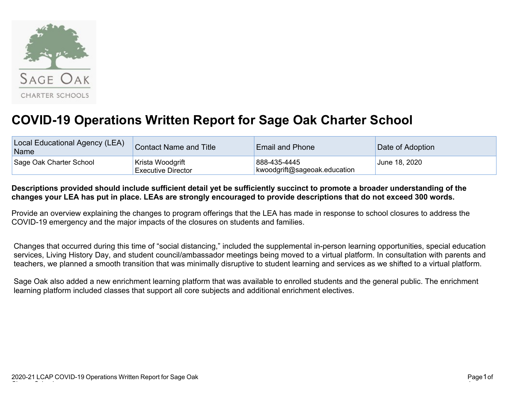

## **COVID-19 Operations Written Report for Sage Oak Charter School**

| Local Educational Agency (LEA)<br>Name | <b>Contact Name and Title</b>                 | <b>Email and Phone</b>                       | Date of Adoption |  |
|----------------------------------------|-----------------------------------------------|----------------------------------------------|------------------|--|
| Sage Oak Charter School                | Krista Woodgrift<br><b>Executive Director</b> | 888-435-4445<br>kwoodgrift@sageoak.education | June 18, 2020    |  |

## **Descriptions provided should include sufficient detail yet be sufficiently succinct to promote a broader understanding of the changes your LEA has put in place. LEAs are strongly encouraged to provide descriptions that do not exceed 300 words.**

Provide an overview explaining the changes to program offerings that the LEA has made in response to school closures to address the COVID-19 emergency and the major impacts of the closures on students and families.

Changes that occurred during this time of "social distancing," included the supplemental in-person learning opportunities, special education services, Living History Day, and student council/ambassador meetings being moved to a virtual platform. In consultation with parents and teachers, we planned a smooth transition that was minimally disruptive to student learning and services as we shifted to a virtual platform.

Sage Oak also added a new enrichment learning platform that was available to enrolled students and the general public. The enrichment learning platform included classes that support all core subjects and additional enrichment electives.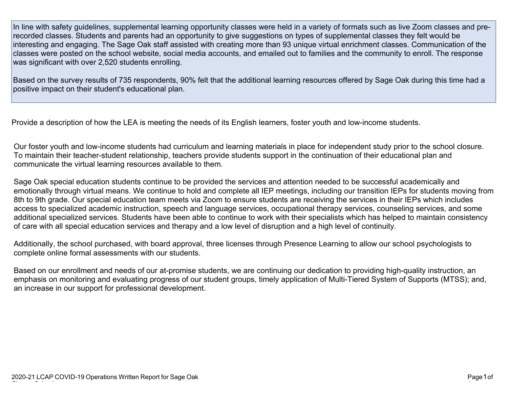In line with safety guidelines, supplemental learning opportunity classes were held in a variety of formats such as live Zoom classes and prerecorded classes. Students and parents had an opportunity to give suggestions on types of supplemental classes they felt would be interesting and engaging. The Sage Oak staff assisted with creating more than 93 unique virtual enrichment classes. Communication of the classes were posted on the school website, social media accounts, and emailed out to families and the community to enroll. The response was significant with over 2,520 students enrolling.

Based on the survey results of 735 respondents, 90% felt that the additional learning resources offered by Sage Oak during this time had a positive impact on their student's educational plan.

Provide a description of how the LEA is meeting the needs of its English learners, foster youth and low-income students.

Our foster youth and low-income students had curriculum and learning materials in place for independent study prior to the school closure. To maintain their teacher-student relationship, teachers provide students support in the continuation of their educational plan and communicate the virtual learning resources available to them.

Sage Oak special education students continue to be provided the services and attention needed to be successful academically and emotionally through virtual means. We continue to hold and complete all IEP meetings, including our transition IEPs for students moving from 8th to 9th grade. Our special education team meets via Zoom to ensure students are receiving the services in their IEPs which includes access to specialized academic instruction, speech and language services, occupational therapy services, counseling services, and some additional specialized services. Students have been able to continue to work with their specialists which has helped to maintain consistency of care with all special education services and therapy and a low level of disruption and a high level of continuity.

Additionally, the school purchased, with board approval, three licenses through Presence Learning to allow our school psychologists to complete online formal assessments with our students.

Based on our enrollment and needs of our at-promise students, we are continuing our dedication to providing high-quality instruction, an emphasis on monitoring and evaluating progress of our student groups, timely application of Multi-Tiered System of Supports (MTSS); and, an increase in our support for professional development.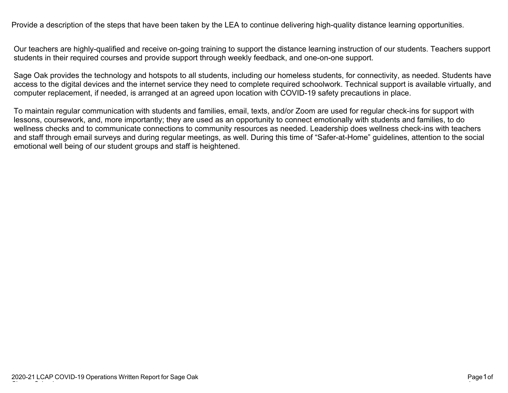Provide a description of the steps that have been taken by the LEA to continue delivering high-quality distance learning opportunities.

Our teachers are highly-qualified and receive on-going training to support the distance learning instruction of our students. Teachers support students in their required courses and provide support through weekly feedback, and one-on-one support.

Sage Oak provides the technology and hotspots to all students, including our homeless students, for connectivity, as needed. Students have access to the digital devices and the internet service they need to complete required schoolwork. Technical support is available virtually, and computer replacement, if needed, is arranged at an agreed upon location with COVID-19 safety precautions in place.

To maintain regular communication with students and families, email, texts, and/or Zoom are used for regular check-ins for support with lessons, coursework, and, more importantly; they are used as an opportunity to connect emotionally with students and families, to do wellness checks and to communicate connections to community resources as needed. Leadership does wellness check-ins with teachers and staff through email surveys and during regular meetings, as well. During this time of "Safer-at-Home" guidelines, attention to the social emotional well being of our student groups and staff is heightened.